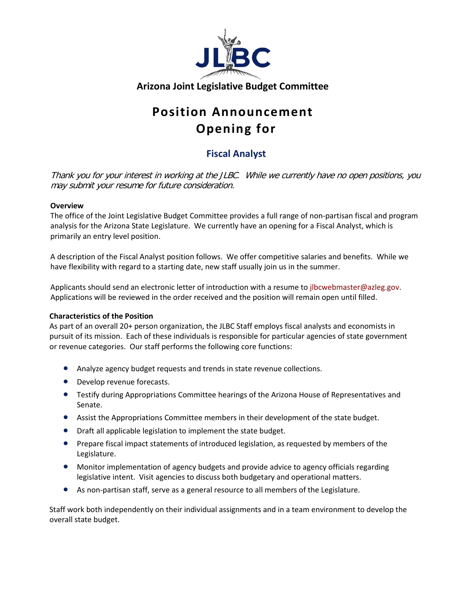

# **Position Announcement Opening for**

# **Fiscal Analyst**

Thank you for your interest in working at the JLBC. While we currently have no open positions, you may submit your resume for future consideration.

#### **Overview**

The office of the Joint Legislative Budget Committee provides a full range of non-partisan fiscal and program analysis for the Arizona State Legislature. We currently have an opening for a Fiscal Analyst, which is primarily an entry level position.

A description of the Fiscal Analyst position follows. We offer competitive salaries and benefits. While we have flexibility with regard to a starting date, new staff usually join us in the summer.

Applicants should send an electronic letter of introduction with a resume to [jlbcwebmaster@azleg.gov.](mailto:jlbcwebmaster@azleg.gov) Applications will be reviewed in the order received and the position will remain open until filled.

## **Characteristics of the Position**

As part of an overall 20+ person organization, the JLBC Staff employs fiscal analysts and economists in pursuit of its mission. Each of these individuals is responsible for particular agencies of state government or revenue categories. Our staff performs the following core functions:

- Analyze agency budget requests and trends in state revenue collections.
- Develop revenue forecasts.
- Testify during Appropriations Committee hearings of the Arizona House of Representatives and Senate.
- Assist the Appropriations Committee members in their development of the state budget.
- Draft all applicable legislation to implement the state budget.
- Prepare fiscal impact statements of introduced legislation, as requested by members of the Legislature.
- Monitor implementation of agency budgets and provide advice to agency officials regarding legislative intent. Visit agencies to discuss both budgetary and operational matters.
- As non-partisan staff, serve as a general resource to all members of the Legislature.

Staff work both independently on their individual assignments and in a team environment to develop the overall state budget.